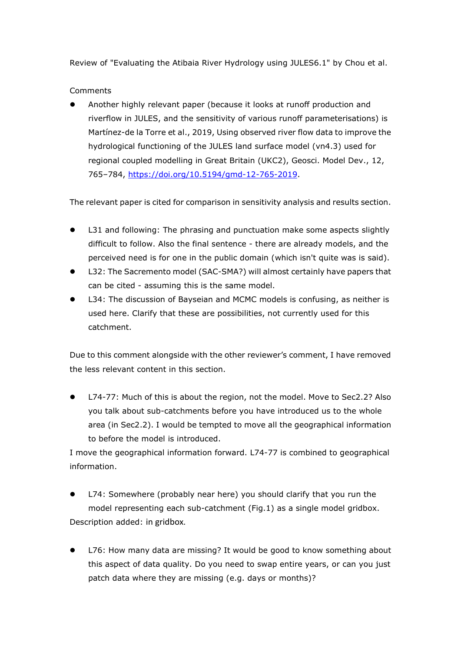Review of "Evaluating the Atibaia River Hydrology using JULES6.1" by Chou et al.

Comments

 Another highly relevant paper (because it looks at runoff production and riverflow in JULES, and the sensitivity of various runoff parameterisations) is Martínez-de la Torre et al., 2019, Using observed river flow data to improve the hydrological functioning of the JULES land surface model (vn4.3) used for regional coupled modelling in Great Britain (UKC2), Geosci. Model Dev., 12, 765–784, [https://doi.org/10.5194/gmd-12-765-2019.](https://doi.org/10.5194/gmd-12-765-2019)

The relevant paper is cited for comparison in sensitivity analysis and results section.

- L31 and following: The phrasing and punctuation make some aspects slightly difficult to follow. Also the final sentence - there are already models, and the perceived need is for one in the public domain (which isn't quite was is said).
- L32: The Sacremento model (SAC-SMA?) will almost certainly have papers that can be cited - assuming this is the same model.
- L34: The discussion of Bayseian and MCMC models is confusing, as neither is used here. Clarify that these are possibilities, not currently used for this catchment.

Due to this comment alongside with the other reviewer's comment, I have removed the less relevant content in this section.

 L74-77: Much of this is about the region, not the model. Move to Sec2.2? Also you talk about sub-catchments before you have introduced us to the whole area (in Sec2.2). I would be tempted to move all the geographical information to before the model is introduced.

I move the geographical information forward. L74-77 is combined to geographical information.

- L74: Somewhere (probably near here) you should clarify that you run the model representing each sub-catchment (Fig.1) as a single model gridbox. Description added: in gridbox.
- L76: How many data are missing? It would be good to know something about this aspect of data quality. Do you need to swap entire years, or can you just patch data where they are missing (e.g. days or months)?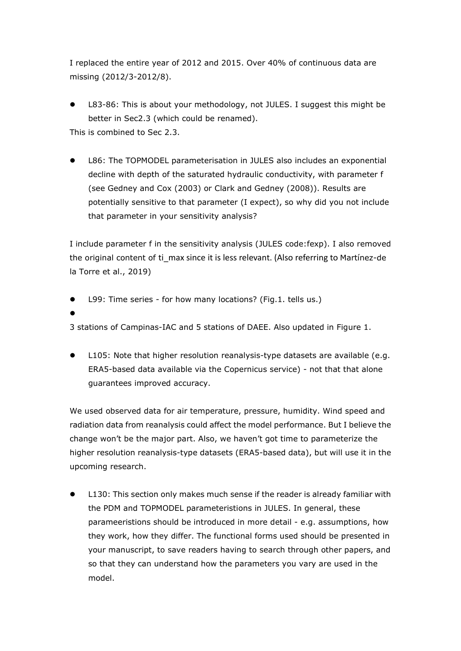I replaced the entire year of 2012 and 2015. Over 40% of continuous data are missing (2012/3-2012/8).

- L83-86: This is about your methodology, not JULES. I suggest this might be better in Sec2.3 (which could be renamed). This is combined to Sec 2.3.
- L86: The TOPMODEL parameterisation in JULES also includes an exponential decline with depth of the saturated hydraulic conductivity, with parameter f (see Gedney and Cox (2003) or Clark and Gedney (2008)). Results are potentially sensitive to that parameter (I expect), so why did you not include that parameter in your sensitivity analysis?

I include parameter f in the sensitivity analysis (JULES code:fexp). I also removed the original content of ti max since it is less relevant. (Also referring to Martínez-de la Torre et al., 2019)

- L99: Time series for how many locations? (Fig.1. tells us.)
- $\bullet$

3 stations of Campinas-IAC and 5 stations of DAEE. Also updated in Figure 1.

 L105: Note that higher resolution reanalysis-type datasets are available (e.g. ERA5-based data available via the Copernicus service) - not that that alone guarantees improved accuracy.

We used observed data for air temperature, pressure, humidity. Wind speed and radiation data from reanalysis could affect the model performance. But I believe the change won't be the major part. Also, we haven't got time to parameterize the higher resolution reanalysis-type datasets (ERA5-based data), but will use it in the upcoming research.

 L130: This section only makes much sense if the reader is already familiar with the PDM and TOPMODEL parameteristions in JULES. In general, these parameeristions should be introduced in more detail - e.g. assumptions, how they work, how they differ. The functional forms used should be presented in your manuscript, to save readers having to search through other papers, and so that they can understand how the parameters you vary are used in the model.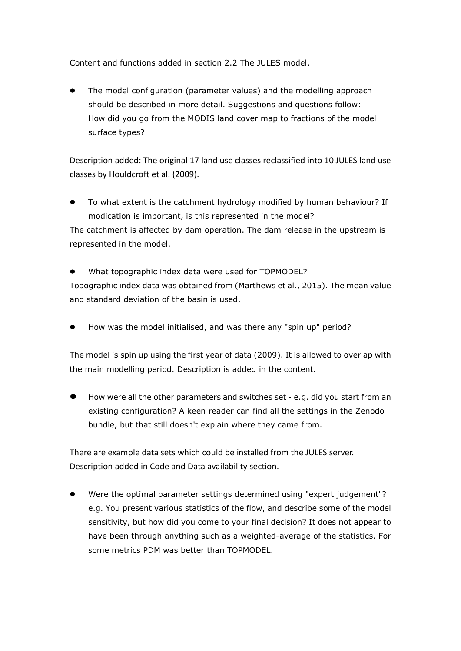Content and functions added in section 2.2 The JULES model.

 The model configuration (parameter values) and the modelling approach should be described in more detail. Suggestions and questions follow: How did you go from the MODIS land cover map to fractions of the model surface types?

Description added: The original 17 land use classes reclassified into 10 JULES land use classes by Houldcroft et al. (2009).

- To what extent is the catchment hydrology modified by human behaviour? If modication is important, is this represented in the model? The catchment is affected by dam operation. The dam release in the upstream is represented in the model.
- What topographic index data were used for TOPMODEL? Topographic index data was obtained from (Marthews et al., 2015). The mean value and standard deviation of the basin is used.
- How was the model initialised, and was there any "spin up" period?

The model is spin up using the first year of data (2009). It is allowed to overlap with the main modelling period. Description is added in the content.

 How were all the other parameters and switches set - e.g. did you start from an existing configuration? A keen reader can find all the settings in the Zenodo bundle, but that still doesn't explain where they came from.

There are example data sets which could be installed from the JULES server. Description added in Code and Data availability section.

 Were the optimal parameter settings determined using "expert judgement"? e.g. You present various statistics of the flow, and describe some of the model sensitivity, but how did you come to your final decision? It does not appear to have been through anything such as a weighted-average of the statistics. For some metrics PDM was better than TOPMODEL.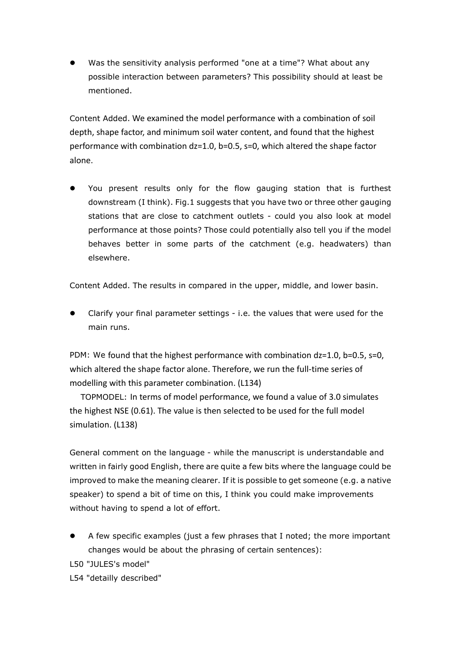Was the sensitivity analysis performed "one at a time"? What about any possible interaction between parameters? This possibility should at least be mentioned.

Content Added. We examined the model performance with a combination of soil depth, shape factor, and minimum soil water content, and found that the highest performance with combination dz=1.0, b=0.5, s=0, which altered the shape factor alone.

 You present results only for the flow gauging station that is furthest downstream (I think). Fig.1 suggests that you have two or three other gauging stations that are close to catchment outlets - could you also look at model performance at those points? Those could potentially also tell you if the model behaves better in some parts of the catchment (e.g. headwaters) than elsewhere.

Content Added. The results in compared in the upper, middle, and lower basin.

 Clarify your final parameter settings - i.e. the values that were used for the main runs.

PDM: We found that the highest performance with combination dz=1.0, b=0.5, s=0, which altered the shape factor alone. Therefore, we run the full-time series of modelling with this parameter combination. (L134)

TOPMODEL: In terms of model performance, we found a value of 3.0 simulates the highest NSE (0.61). The value is then selected to be used for the full model simulation. (L138)

General comment on the language - while the manuscript is understandable and written in fairly good English, there are quite a few bits where the language could be improved to make the meaning clearer. If it is possible to get someone (e.g. a native speaker) to spend a bit of time on this, I think you could make improvements without having to spend a lot of effort.

 A few specific examples (just a few phrases that I noted; the more important changes would be about the phrasing of certain sentences):

L50 "JULES's model"

L54 "detailly described"